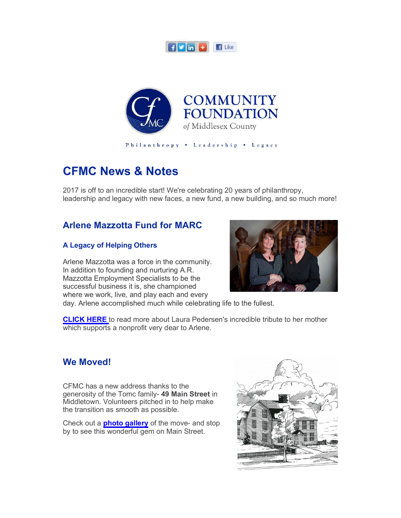



Philanthropy . Leadership . Legacy

# **CFMC News & Notes**

2017 is off to an incredible start! We're celebrating 20 years of philanthropy, leadership and legacy with new faces, a new fund, a new building, and so much more!

#### **Arlene Mazzotta Fund for MARC**

#### **A Legacy of Helping Others**

Arlene Mazzotta was a force in the community. In addition to founding and nurturing A.R. Mazzotta Employment Specialists to be the successful business it is, she championed where we work, live, and play each and every



day. Arlene accomplished much while celebrating life to the fullest.

**CLICK HERE** to read more about Laura Pedersen's incredible tribute to her mother which supports a nonprofit very dear to Arlene.

#### **We Moved!**

CFMC has a new address thanks to the generosity of the Tomc family- **49 Main Street** in Middletown. Volunteers pitched in to help make the transition as smooth as possible.

Check out a **photo gallery** of the move- and stop by to see this wonderful gem on Main Street.

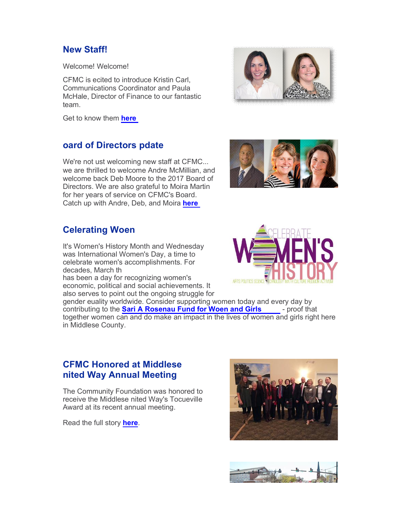# **New Staff!**

Welcome! Welcome!

CFMC is ecited to introduce Kristin Carl. Communications Coordinator and Paula McHale, Director of Finance to our fantastic team.

Get to know them **here.**

# **board of Directors pdate**

We're not ust welcoming new staff at CFMC... we are thrilled to welcome Andre McMillian, and welcome back Deb Moore to the 2017 Board of Directors. We are also grateful to Moira Martin for her years of service on CFMC's Board. Catch up with Andre, Deb, and Moira **here.**

# **Celerating Woen**

It's Women's History Month and Wednesday was International Women's Day, a time to celebrate women's accomplishments. For decades, March th has been a day for recognizing women's

economic, political and social achievements. It also serves to point out the ongoing struggle for

gender euality worldwide. Consider supporting women today and every day by contributing to the **Sari A Rosenau Fund for Woen and Girls** - proof that together women can and do make an impact in the lives of women and girls right here in Middlese County.

#### **CFMC Honored at Middlese United Way Annual Meeting**

The Community Foundation was honored to receive the Middlese nited Way's Tocueville Award at its recent annual meeting.

Read the full story **here**.